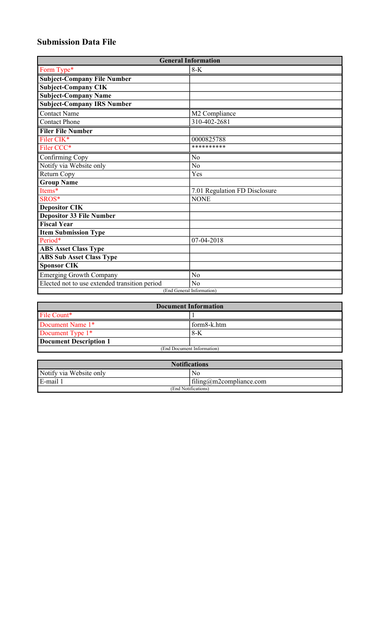## **Submission Data File**

| <b>General Information</b>                    |                               |
|-----------------------------------------------|-------------------------------|
| Form Type*                                    | $8-K$                         |
| <b>Subject-Company File Number</b>            |                               |
| <b>Subject-Company CIK</b>                    |                               |
| <b>Subject-Company Name</b>                   |                               |
| <b>Subject-Company IRS Number</b>             |                               |
| <b>Contact Name</b>                           | M2 Compliance                 |
| <b>Contact Phone</b>                          | 310-402-2681                  |
| <b>Filer File Number</b>                      |                               |
| Filer CIK <sup>*</sup>                        | 0000825788                    |
| Filer CCC*                                    | **********                    |
| Confirming Copy                               | N <sub>0</sub>                |
| Notify via Website only                       | N <sub>0</sub>                |
| Return Copy                                   | Yes                           |
| <b>Group Name</b>                             |                               |
| Items*                                        | 7.01 Regulation FD Disclosure |
| SROS*                                         | <b>NONE</b>                   |
| <b>Depositor CIK</b>                          |                               |
| <b>Depositor 33 File Number</b>               |                               |
| <b>Fiscal Year</b>                            |                               |
| <b>Item Submission Type</b>                   |                               |
| Period*                                       | 07-04-2018                    |
| <b>ABS Asset Class Type</b>                   |                               |
| <b>ABS Sub Asset Class Type</b>               |                               |
| <b>Sponsor CIK</b>                            |                               |
| <b>Emerging Growth Company</b>                | N <sub>o</sub>                |
| Elected not to use extended transition period | N <sub>o</sub>                |
| (End General Information)                     |                               |

| <b>Document Information</b>   |             |
|-------------------------------|-------------|
| File Count*                   |             |
| Document Name 1*              | form8-k.htm |
| Document Type 1 <sup>*</sup>  | $8-K$       |
| <b>Document Description 1</b> |             |
| (End Document Information)    |             |

| <b>Notifications</b>    |                         |  |
|-------------------------|-------------------------|--|
| Notify via Website only | No.                     |  |
| E-mail 1                | filing@m2compliance.com |  |
| (End Notifications)     |                         |  |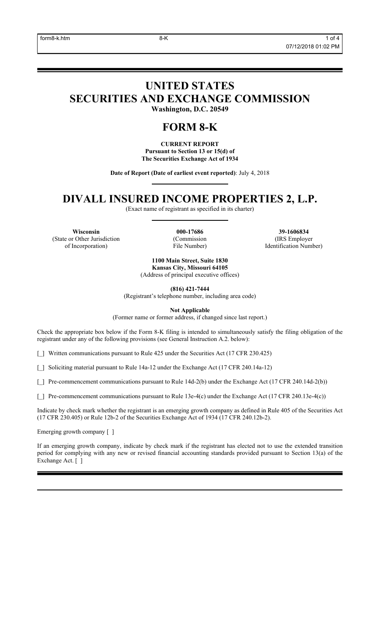# **UNITED STATES SECURITIES AND EXCHANGE COMMISSION**

**Washington, D.C. 20549**

### **FORM 8-K**

**CURRENT REPORT Pursuant to Section 13 or 15(d) of The Securities Exchange Act of 1934**

**Date of Report (Date of earliest event reported)**: July 4, 2018

### **DIVALL INSURED INCOME PROPERTIES 2, L.P.**

(Exact name of registrant as specified in its charter)

**Wisconsin 000-17686 39-1606834** (State or Other Jurisdiction of Incorporation)

(Commission File Number)

(IRS Employer Identification Number)

**1100 Main Street, Suite 1830 Kansas City, Missouri 64105** (Address of principal executive offices)

**(816) 421-7444**

(Registrant's telephone number, including area code)

**Not Applicable**

(Former name or former address, if changed since last report.)

Check the appropriate box below if the Form 8-K filing is intended to simultaneously satisfy the filing obligation of the registrant under any of the following provisions (see General Instruction A.2. below):

[\_] Written communications pursuant to Rule 425 under the Securities Act (17 CFR 230.425)

[\_] Soliciting material pursuant to Rule 14a-12 under the Exchange Act (17 CFR 240.14a-12)

[] Pre-commencement communications pursuant to Rule 14d-2(b) under the Exchange Act (17 CFR 240.14d-2(b))

[] Pre-commencement communications pursuant to Rule 13e-4(c) under the Exchange Act (17 CFR 240.13e-4(c))

Indicate by check mark whether the registrant is an emerging growth company as defined in Rule 405 of the Securities Act (17 CFR 230.405) or Rule 12b-2 of the Securities Exchange Act of 1934 (17 CFR 240.12b-2).

Emerging growth company [ ]

If an emerging growth company, indicate by check mark if the registrant has elected not to use the extended transition period for complying with any new or revised financial accounting standards provided pursuant to Section 13(a) of the Exchange Act. [ ]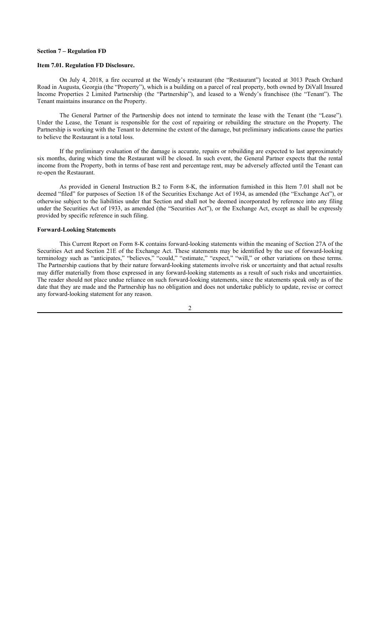#### **Section 7 – Regulation FD**

#### **Item 7.01. Regulation FD Disclosure.**

On July 4, 2018, a fire occurred at the Wendy's restaurant (the "Restaurant") located at 3013 Peach Orchard Road in Augusta, Georgia (the "Property"), which is a building on a parcel of real property, both owned by DiVall Insured Income Properties 2 Limited Partnership (the "Partnership"), and leased to a Wendy's franchisee (the "Tenant"). The Tenant maintains insurance on the Property.

The General Partner of the Partnership does not intend to terminate the lease with the Tenant (the "Lease"). Under the Lease, the Tenant is responsible for the cost of repairing or rebuilding the structure on the Property. The Partnership is working with the Tenant to determine the extent of the damage, but preliminary indications cause the parties to believe the Restaurant is a total loss.

If the preliminary evaluation of the damage is accurate, repairs or rebuilding are expected to last approximately six months, during which time the Restaurant will be closed. In such event, the General Partner expects that the rental income from the Property, both in terms of base rent and percentage rent, may be adversely affected until the Tenant can re-open the Restaurant.

As provided in General Instruction B.2 to Form 8-K, the information furnished in this Item 7.01 shall not be deemed "filed" for purposes of Section 18 of the Securities Exchange Act of 1934, as amended (the "Exchange Act"), or otherwise subject to the liabilities under that Section and shall not be deemed incorporated by reference into any filing under the Securities Act of 1933, as amended (the "Securities Act"), or the Exchange Act, except as shall be expressly provided by specific reference in such filing.

#### **Forward-Looking Statements**

This Current Report on Form 8-K contains forward-looking statements within the meaning of Section 27A of the Securities Act and Section 21E of the Exchange Act. These statements may be identified by the use of forward-looking terminology such as "anticipates," "believes," "could," "estimate," "expect," "will," or other variations on these terms. The Partnership cautions that by their nature forward-looking statements involve risk or uncertainty and that actual results may differ materially from those expressed in any forward-looking statements as a result of such risks and uncertainties. The reader should not place undue reliance on such forward-looking statements, since the statements speak only as of the date that they are made and the Partnership has no obligation and does not undertake publicly to update, revise or correct any forward-looking statement for any reason.

 $\mathfrak{D}$